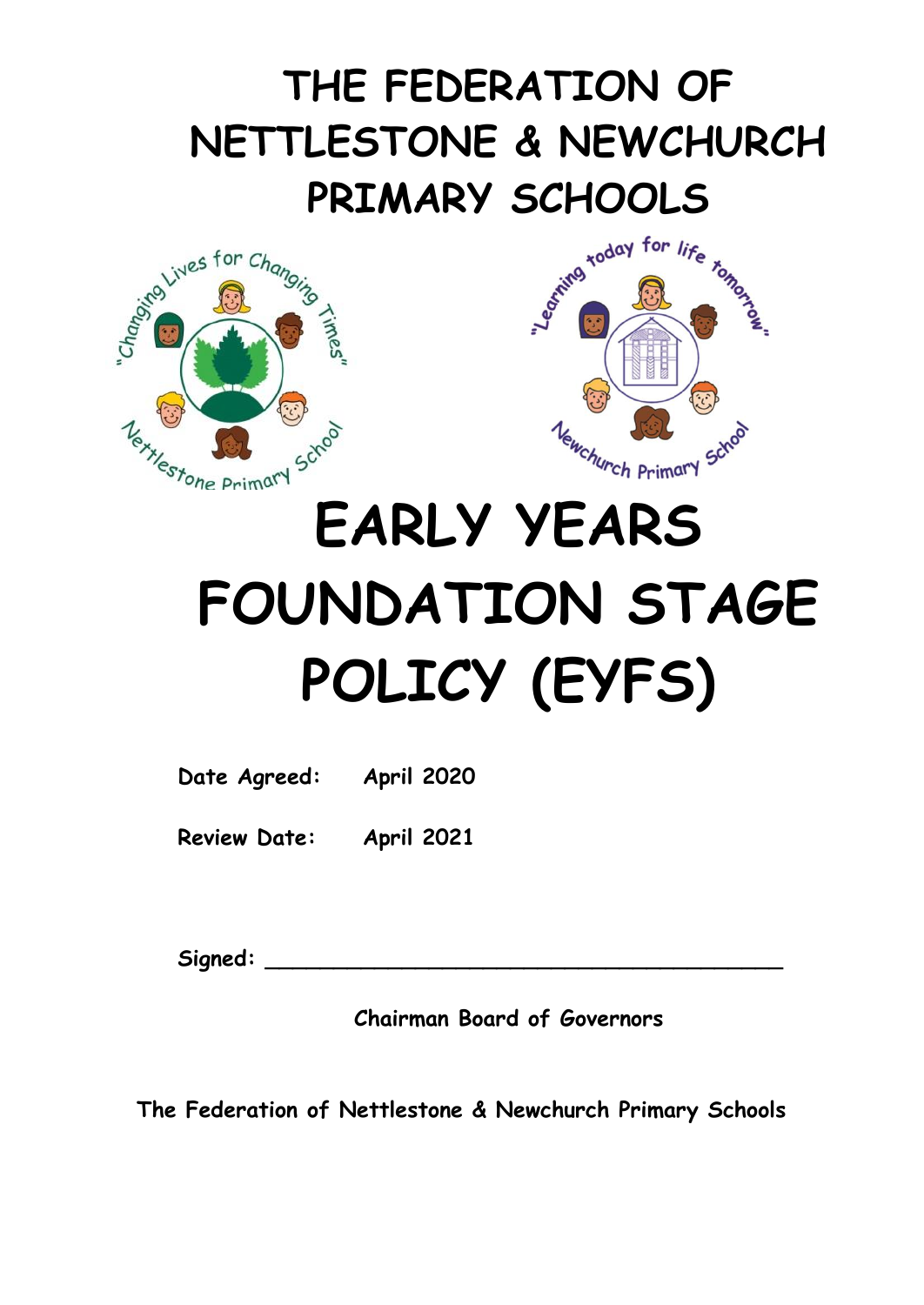# **THE FEDERATION OF NETTLESTONE & NEWCHURCH**





## **EARLY YEARS FOUNDATION STAGE POLICY (EYFS)**

**Date Agreed: April 2020**

**Review Date: April 2021**

Signed:

**Chairman Board of Governors**

**The Federation of Nettlestone & Newchurch Primary Schools**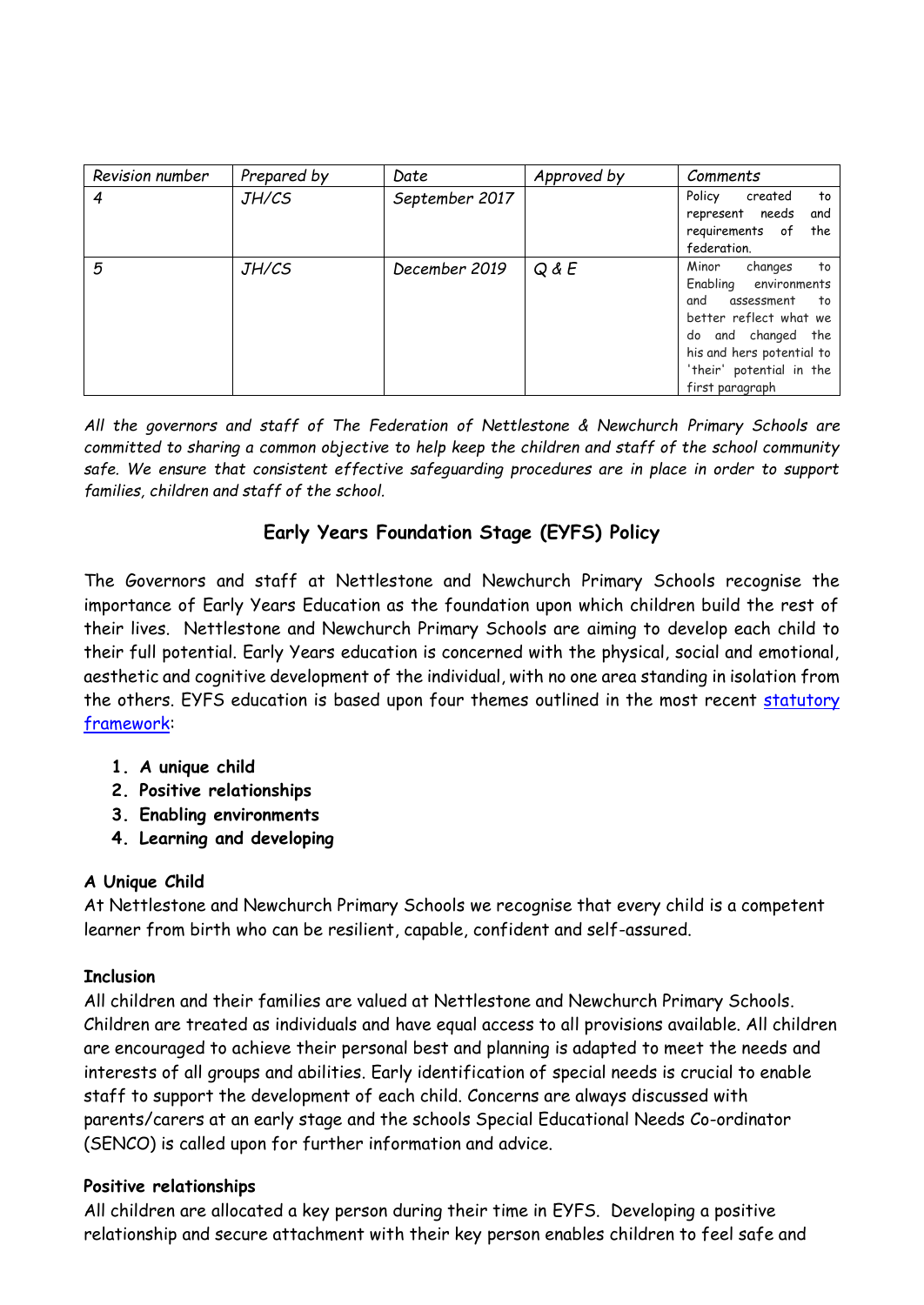| Revision number  | Prepared by | Date           | Approved by | Comments                                                                                                                                                                                            |
|------------------|-------------|----------------|-------------|-----------------------------------------------------------------------------------------------------------------------------------------------------------------------------------------------------|
| $\boldsymbol{4}$ | JH/CS       | September 2017 |             | Policy<br>created<br>to<br>represent needs<br>and<br>requirements of the<br>federation.                                                                                                             |
| 5                | JH/CS       | December 2019  | $Q$ & $E$   | Minor<br>to<br>changes<br>Enabling environments<br>and<br>assessment to<br>better reflect what we<br>do and changed the<br>his and hers potential to<br>'their' potential in the<br>first paragraph |

*All the governors and staff of The Federation of Nettlestone & Newchurch Primary Schools are committed to sharing a common objective to help keep the children and staff of the school community safe. We ensure that consistent effective safeguarding procedures are in place in order to support families, children and staff of the school.*

### **Early Years Foundation Stage (EYFS) Policy**

The Governors and staff at Nettlestone and Newchurch Primary Schools recognise the importance of Early Years Education as the foundation upon which children build the rest of their lives. Nettlestone and Newchurch Primary Schools are aiming to develop each child to their full potential. Early Years education is concerned with the physical, social and emotional, aesthetic and cognitive development of the individual, with no one area standing in isolation from the others. EYFS education is based upon four themes outlined in the most recent [statutory](https://www.foundationyears.org.uk/files/2017/03/EYFS_STATUTORY_FRAMEWORK_2017.pdf) [framework:](https://www.foundationyears.org.uk/files/2017/03/EYFS_STATUTORY_FRAMEWORK_2017.pdf)

- **1. A unique child**
- **2. Positive relationships**
- **3. Enabling environments**
- **4. Learning and developing**

#### **A Unique Child**

At Nettlestone and Newchurch Primary Schools we recognise that every child is a competent learner from birth who can be resilient, capable, confident and self-assured.

#### **Inclusion**

All children and their families are valued at Nettlestone and Newchurch Primary Schools. Children are treated as individuals and have equal access to all provisions available. All children are encouraged to achieve their personal best and planning is adapted to meet the needs and interests of all groups and abilities. Early identification of special needs is crucial to enable staff to support the development of each child. Concerns are always discussed with parents/carers at an early stage and the schools Special Educational Needs Co-ordinator (SENCO) is called upon for further information and advice.

#### **Positive relationships**

All children are allocated a key person during their time in EYFS. Developing a positive relationship and secure attachment with their key person enables children to feel safe and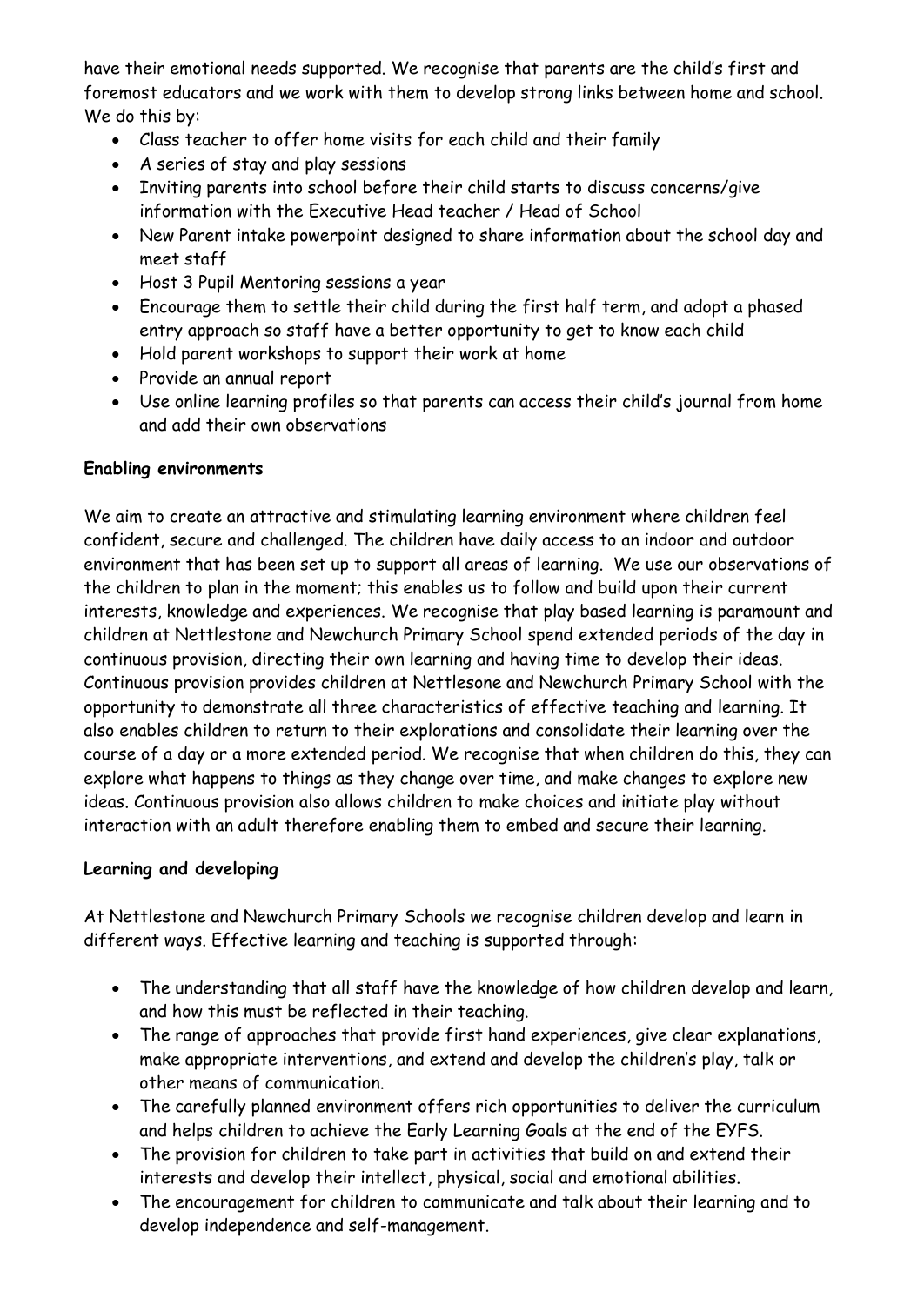have their emotional needs supported. We recognise that parents are the child's first and foremost educators and we work with them to develop strong links between home and school. We do this by:

- Class teacher to offer home visits for each child and their family
- A series of stay and play sessions
- Inviting parents into school before their child starts to discuss concerns/give information with the Executive Head teacher / Head of School
- New Parent intake powerpoint designed to share information about the school day and meet staff
- Host 3 Pupil Mentoring sessions a year
- Encourage them to settle their child during the first half term, and adopt a phased entry approach so staff have a better opportunity to get to know each child
- Hold parent workshops to support their work at home
- Provide an annual report
- Use online learning profiles so that parents can access their child's journal from home and add their own observations

#### **Enabling environments**

We aim to create an attractive and stimulating learning environment where children feel confident, secure and challenged. The children have daily access to an indoor and outdoor environment that has been set up to support all areas of learning. We use our observations of the children to plan in the moment; this enables us to follow and build upon their current interests, knowledge and experiences. We recognise that play based learning is paramount and children at Nettlestone and Newchurch Primary School spend extended periods of the day in continuous provision, directing their own learning and having time to develop their ideas. Continuous provision provides children at Nettlesone and Newchurch Primary School with the opportunity to demonstrate all three characteristics of effective teaching and learning. It also enables children to return to their explorations and consolidate their learning over the course of a day or a more extended period. We recognise that when children do this, they can explore what happens to things as they change over time, and make changes to explore new ideas. Continuous provision also allows children to make choices and initiate play without interaction with an adult therefore enabling them to embed and secure their learning.

#### **Learning and developing**

At Nettlestone and Newchurch Primary Schools we recognise children develop and learn in different ways. Effective learning and teaching is supported through:

- The understanding that all staff have the knowledge of how children develop and learn, and how this must be reflected in their teaching.
- The range of approaches that provide first hand experiences, give clear explanations, make appropriate interventions, and extend and develop the children's play, talk or other means of communication.
- The carefully planned environment offers rich opportunities to deliver the curriculum and helps children to achieve the Early Learning Goals at the end of the EYFS.
- The provision for children to take part in activities that build on and extend their interests and develop their intellect, physical, social and emotional abilities.
- The encouragement for children to communicate and talk about their learning and to develop independence and self-management.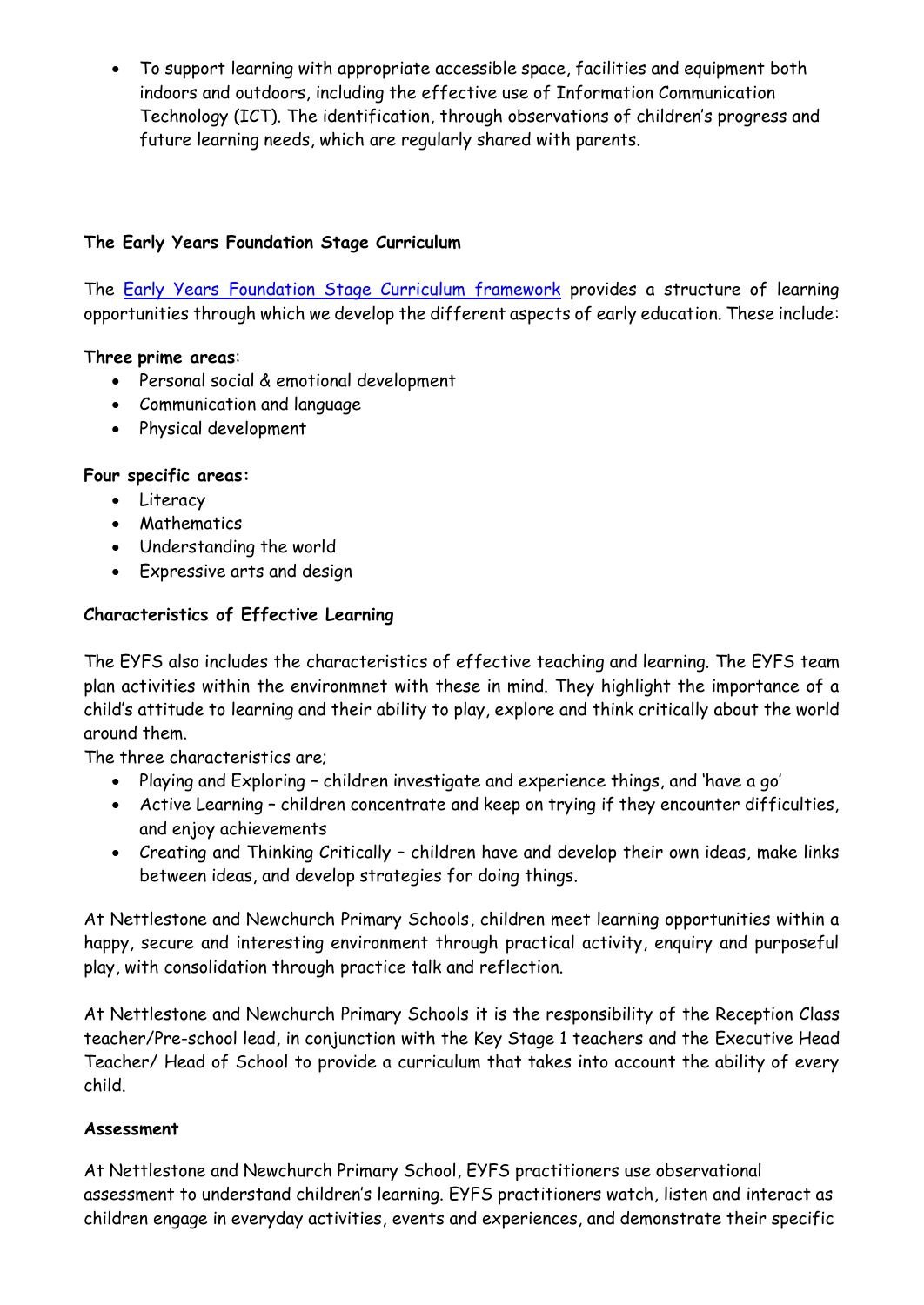• To support learning with appropriate accessible space, facilities and equipment both indoors and outdoors, including the effective use of Information Communication Technology (ICT). The identification, through observations of children's progress and future learning needs, which are regularly shared with parents.

#### **The Early Years Foundation Stage Curriculum**

The [Early Years Foundation Stage Curriculum framework](https://www.foundationyears.org.uk/files/2017/03/EYFS_STATUTORY_FRAMEWORK_2017.pdf) provides a structure of learning opportunities through which we develop the different aspects of early education. These include:

#### **Three prime areas**:

- Personal social & emotional development
- Communication and language
- Physical development

#### **Four specific areas:**

- Literacy
- Mathematics
- Understanding the world
- Expressive arts and design

#### **Characteristics of Effective Learning**

The EYFS also includes the characteristics of effective teaching and learning. The EYFS team plan activities within the environmnet with these in mind. They highlight the importance of a child's attitude to learning and their ability to play, explore and think critically about the world around them.

The three characteristics are;

- Playing and Exploring children investigate and experience things, and 'have a go'
- Active Learning children concentrate and keep on trying if they encounter difficulties, and enjoy achievements
- Creating and Thinking Critically children have and develop their own ideas, make links between ideas, and develop strategies for doing things.

At Nettlestone and Newchurch Primary Schools, children meet learning opportunities within a happy, secure and interesting environment through practical activity, enquiry and purposeful play, with consolidation through practice talk and reflection.

At Nettlestone and Newchurch Primary Schools it is the responsibility of the Reception Class teacher/Pre-school lead, in conjunction with the Key Stage 1 teachers and the Executive Head Teacher/ Head of School to provide a curriculum that takes into account the ability of every child.

#### **Assessment**

At Nettlestone and Newchurch Primary School, EYFS practitioners use observational assessment to understand children's learning. EYFS practitioners watch, listen and interact as children engage in everyday activities, events and experiences, and demonstrate their specific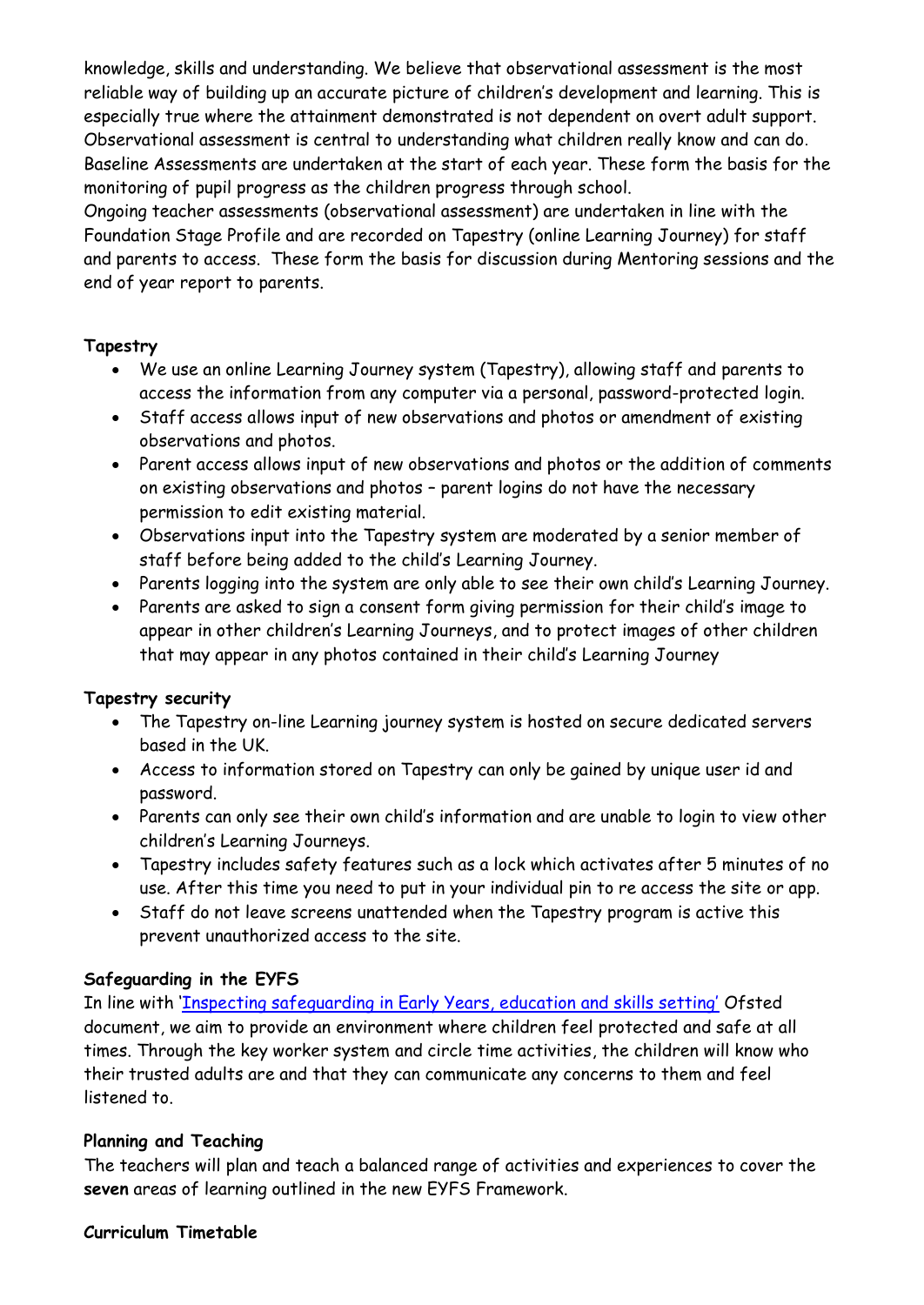knowledge, skills and understanding. We believe that observational assessment is the most reliable way of building up an accurate picture of children's development and learning. This is especially true where the attainment demonstrated is not dependent on overt adult support. Observational assessment is central to understanding what children really know and can do. Baseline Assessments are undertaken at the start of each year. These form the basis for the monitoring of pupil progress as the children progress through school.

Ongoing teacher assessments (observational assessment) are undertaken in line with the Foundation Stage Profile and are recorded on Tapestry (online Learning Journey) for staff and parents to access. These form the basis for discussion during Mentoring sessions and the end of year report to parents.

#### **Tapestry**

- We use an online Learning Journey system (Tapestry), allowing staff and parents to access the information from any computer via a personal, password-protected login.
- Staff access allows input of new observations and photos or amendment of existing observations and photos.
- Parent access allows input of new observations and photos or the addition of comments on existing observations and photos – parent logins do not have the necessary permission to edit existing material.
- Observations input into the Tapestry system are moderated by a senior member of staff before being added to the child's Learning Journey.
- Parents logging into the system are only able to see their own child's Learning Journey.
- Parents are asked to sign a consent form giving permission for their child's image to appear in other children's Learning Journeys, and to protect images of other children that may appear in any photos contained in their child's Learning Journey

#### **Tapestry security**

- The Tapestry on-line Learning journey system is hosted on secure dedicated servers based in the UK.
- Access to information stored on Tapestry can only be gained by unique user id and password.
- Parents can only see their own child's information and are unable to login to view other children's Learning Journeys.
- Tapestry includes safety features such as a lock which activates after 5 minutes of no use. After this time you need to put in your individual pin to re access the site or app.
- Staff do not leave screens unattended when the Tapestry program is active this prevent unauthorized access to the site.

#### **Safeguarding in the EYFS**

In line with ['Inspecting safeguarding in Early Years, education and skills setting'](https://www.google.com/search?q=inspecting+safeguarding+in+early+years+education+and+skills+settings+september+2019&rlz=1C1GCEA_enGB745GB745&oq=Inspecting+safeguarding+in+Early+Years%2C+education+and+skills+setting%E2%80%99&aqs=chrome.5.69i57j0l7.14051j0j4&sourceid=chrome&ie=UTF-8&safe=active&ssui=on) Ofsted document, we aim to provide an environment where children feel protected and safe at all times. Through the key worker system and circle time activities, the children will know who their trusted adults are and that they can communicate any concerns to them and feel listened to.

#### **Planning and Teaching**

The teachers will plan and teach a balanced range of activities and experiences to cover the **seven** areas of learning outlined in the new EYFS Framework.

#### **Curriculum Timetable**